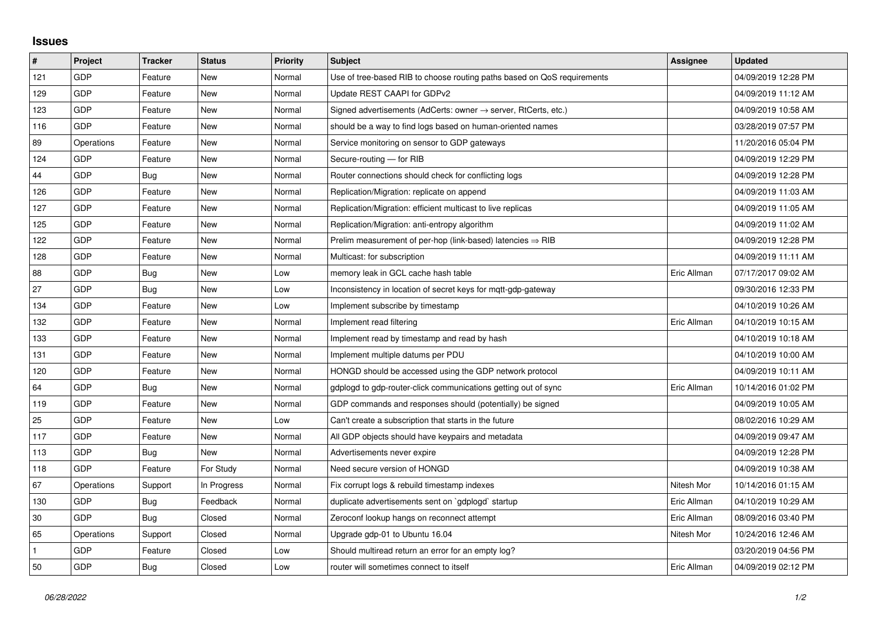## **Issues**

| #   | Project    | <b>Tracker</b> | <b>Status</b> | <b>Priority</b> | <b>Subject</b>                                                             | Assignee    | <b>Updated</b>      |
|-----|------------|----------------|---------------|-----------------|----------------------------------------------------------------------------|-------------|---------------------|
| 121 | GDP        | Feature        | New           | Normal          | Use of tree-based RIB to choose routing paths based on QoS requirements    |             | 04/09/2019 12:28 PM |
| 129 | GDP        | Feature        | <b>New</b>    | Normal          | Update REST CAAPI for GDPv2                                                |             | 04/09/2019 11:12 AM |
| 123 | GDP        | Feature        | New           | Normal          | Signed advertisements (AdCerts: owner $\rightarrow$ server, RtCerts, etc.) |             | 04/09/2019 10:58 AM |
| 116 | GDP        | Feature        | <b>New</b>    | Normal          | should be a way to find logs based on human-oriented names                 |             | 03/28/2019 07:57 PM |
| 89  | Operations | Feature        | <b>New</b>    | Normal          | Service monitoring on sensor to GDP gateways                               |             | 11/20/2016 05:04 PM |
| 124 | GDP        | Feature        | New           | Normal          | Secure-routing - for RIB                                                   |             | 04/09/2019 12:29 PM |
| 44  | GDP        | Bug            | <b>New</b>    | Normal          | Router connections should check for conflicting logs                       |             | 04/09/2019 12:28 PM |
| 126 | GDP        | Feature        | New           | Normal          | Replication/Migration: replicate on append                                 |             | 04/09/2019 11:03 AM |
| 127 | GDP        | Feature        | New           | Normal          | Replication/Migration: efficient multicast to live replicas                |             | 04/09/2019 11:05 AM |
| 125 | GDP        | Feature        | <b>New</b>    | Normal          | Replication/Migration: anti-entropy algorithm                              |             | 04/09/2019 11:02 AM |
| 122 | GDP        | Feature        | New           | Normal          | Prelim measurement of per-hop (link-based) latencies $\Rightarrow$ RIB     |             | 04/09/2019 12:28 PM |
| 128 | GDP        | Feature        | New           | Normal          | Multicast: for subscription                                                |             | 04/09/2019 11:11 AM |
| 88  | GDP        | <b>Bug</b>     | <b>New</b>    | Low             | memory leak in GCL cache hash table                                        | Eric Allman | 07/17/2017 09:02 AM |
| 27  | GDP        | Bug            | New           | Low             | Inconsistency in location of secret keys for mgtt-gdp-gateway              |             | 09/30/2016 12:33 PM |
| 134 | GDP        | Feature        | <b>New</b>    | Low             | Implement subscribe by timestamp                                           |             | 04/10/2019 10:26 AM |
| 132 | GDP        | Feature        | New           | Normal          | Implement read filtering                                                   | Eric Allman | 04/10/2019 10:15 AM |
| 133 | GDP        | Feature        | New           | Normal          | Implement read by timestamp and read by hash                               |             | 04/10/2019 10:18 AM |
| 131 | GDP        | Feature        | New           | Normal          | Implement multiple datums per PDU                                          |             | 04/10/2019 10:00 AM |
| 120 | GDP        | Feature        | <b>New</b>    | Normal          | HONGD should be accessed using the GDP network protocol                    |             | 04/09/2019 10:11 AM |
| 64  | GDP        | Bug            | New           | Normal          | gdplogd to gdp-router-click communications getting out of sync             | Eric Allman | 10/14/2016 01:02 PM |
| 119 | GDP        | Feature        | New           | Normal          | GDP commands and responses should (potentially) be signed                  |             | 04/09/2019 10:05 AM |
| 25  | GDP        | Feature        | <b>New</b>    | Low             | Can't create a subscription that starts in the future                      |             | 08/02/2016 10:29 AM |
| 117 | GDP        | Feature        | New           | Normal          | All GDP objects should have keypairs and metadata                          |             | 04/09/2019 09:47 AM |
| 113 | GDP        | Bug            | <b>New</b>    | Normal          | Advertisements never expire                                                |             | 04/09/2019 12:28 PM |
| 118 | GDP        | Feature        | For Study     | Normal          | Need secure version of HONGD                                               |             | 04/09/2019 10:38 AM |
| 67  | Operations | Support        | In Progress   | Normal          | Fix corrupt logs & rebuild timestamp indexes                               | Nitesh Mor  | 10/14/2016 01:15 AM |
| 130 | GDP        | Bug            | Feedback      | Normal          | duplicate advertisements sent on `gdplogd` startup                         | Eric Allman | 04/10/2019 10:29 AM |
| 30  | GDP        | <b>Bug</b>     | Closed        | Normal          | Zeroconf lookup hangs on reconnect attempt                                 | Eric Allman | 08/09/2016 03:40 PM |
| 65  | Operations | Support        | Closed        | Normal          | Upgrade gdp-01 to Ubuntu 16.04                                             | Nitesh Mor  | 10/24/2016 12:46 AM |
|     | GDP        | Feature        | Closed        | Low             | Should multiread return an error for an empty log?                         |             | 03/20/2019 04:56 PM |
| 50  | GDP        | Bug            | Closed        | Low             | router will sometimes connect to itself                                    | Eric Allman | 04/09/2019 02:12 PM |